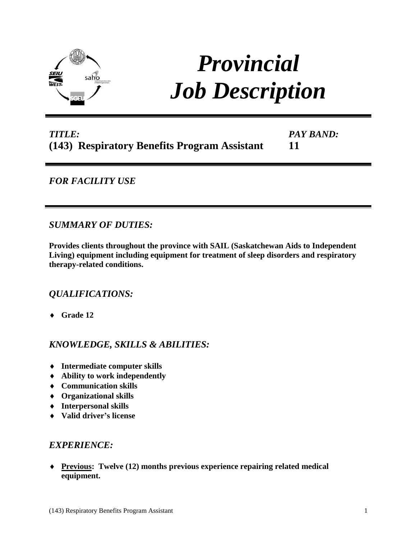

# *Provincial Job Description*

## *TITLE:* **(143) Respiratory Benefits Program Assistant**

*PAY BAND:* **11**

## *FOR FACILITY USE*

*SUMMARY OF DUTIES:*

**Provides clients throughout the province with SAIL (Saskatchewan Aids to Independent Living) equipment including equipment for treatment of sleep disorders and respiratory therapy-related conditions.**

## *QUALIFICATIONS:*

**Grade 12** 

## *KNOWLEDGE, SKILLS & ABILITIES:*

- **Intermediate computer skills**
- **Ability to work independently**
- **Communication skills**
- **Organizational skills**
- **Interpersonal skills**
- **Valid driver's license**

### *EXPERIENCE:*

 **Previous: Twelve (12) months previous experience repairing related medical equipment.**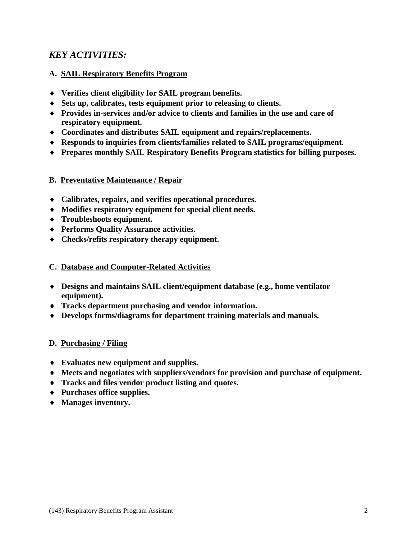## *KEY ACTIVITIES:*

#### **A. SAIL Respiratory Benefits Program**

- **Verifies client eligibility for SAIL program benefits.**
- **Sets up, calibrates, tests equipment prior to releasing to clients.**
- **Provides in-services and/or advice to clients and families in the use and care of respiratory equipment.**
- **Coordinates and distributes SAIL equipment and repairs/replacements.**
- **Responds to inquiries from clients/families related to SAIL programs/equipment.**
- **Prepares monthly SAIL Respiratory Benefits Program statistics for billing purposes.**

#### **B. Preventative Maintenance / Repair**

- **Calibrates, repairs, and verifies operational procedures.**
- **Modifies respiratory equipment for special client needs.**
- **Troubleshoots equipment.**
- **Performs Quality Assurance activities.**
- **Checks/refits respiratory therapy equipment.**

#### **C. Database and Computer-Related Activities**

- **Designs and maintains SAIL client/equipment database (e.g., home ventilator equipment).**
- **Tracks department purchasing and vendor information.**
- **Develops forms/diagrams for department training materials and manuals.**

#### **D. Purchasing / Filing**

- **Evaluates new equipment and supplies.**
- **Meets and negotiates with suppliers/vendors for provision and purchase of equipment.**
- **Tracks and files vendor product listing and quotes.**
- **Purchases office supplies.**
- **Manages inventory.**